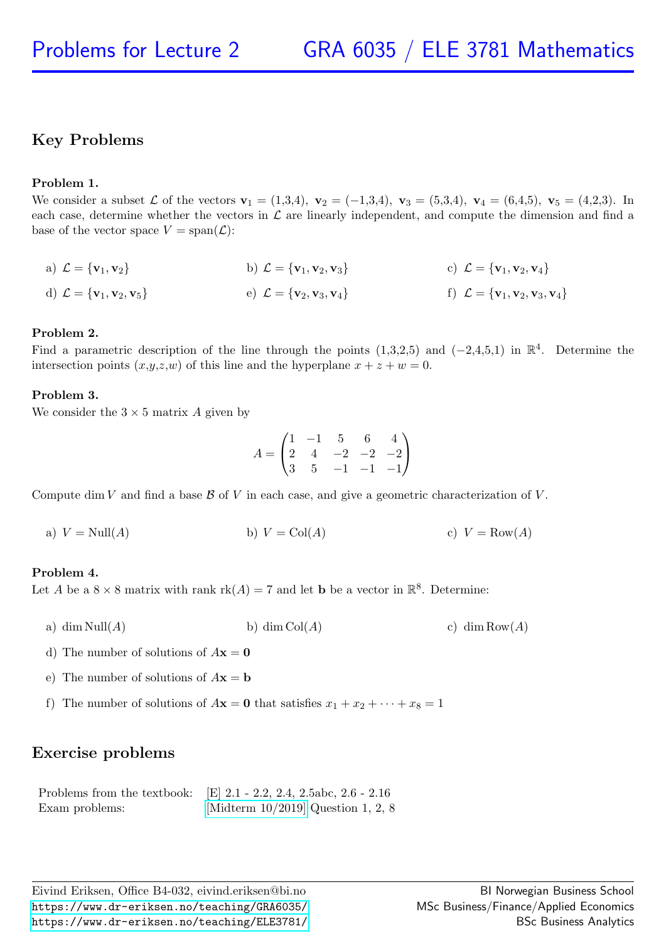# Key Problems

# Problem 1.

We consider a subset L of the vectors  $v_1 = (1,3,4)$ ,  $v_2 = (-1,3,4)$ ,  $v_3 = (5,3,4)$ ,  $v_4 = (6,4,5)$ ,  $v_5 = (4,2,3)$ . In each case, determine whether the vectors in  $\mathcal L$  are linearly independent, and compute the dimension and find a base of the vector space  $V = \text{span}(\mathcal{L})$ :

a) 
$$
\mathcal{L} = {\mathbf{v}_1, \mathbf{v}_2}
$$
  
b)  $\mathcal{L} = {\mathbf{v}_1, \mathbf{v}_2, \mathbf{v}_3}$   
c)  $\mathcal{L} = {\mathbf{v}_1, \mathbf{v}_2, \mathbf{v}_4}$   
d)  $\mathcal{L} = {\mathbf{v}_1, \mathbf{v}_2, \mathbf{v}_5}$   
e)  $\mathcal{L} = {\mathbf{v}_2, \mathbf{v}_3, \mathbf{v}_4}$   
f)  $\mathcal{L} = {\mathbf{v}_1, \mathbf{v}_2, \mathbf{v}_3, \mathbf{v}_4}$ 

## Problem 2.

Find a parametric description of the line through the points  $(1,3,2,5)$  and  $(-2,4,5,1)$  in  $\mathbb{R}^4$ . Determine the intersection points  $(x,y,z,w)$  of this line and the hyperplane  $x + z + w = 0$ .

## Problem 3.

We consider the  $3 \times 5$  matrix A given by

$$
A = \begin{pmatrix} 1 & -1 & 5 & 6 & 4 \\ 2 & 4 & -2 & -2 & -2 \\ 3 & 5 & -1 & -1 & -1 \end{pmatrix}
$$

Compute dim V and find a base  $\beta$  of V in each case, and give a geometric characterization of V.

a)  $V = \text{Null}(A)$  b)  $V = \text{Col}(A)$  c)  $V = \text{Row}(A)$ 

### Problem 4.

Let A be a  $8 \times 8$  matrix with rank  $rk(A) = 7$  and let **b** be a vector in  $\mathbb{R}^8$ . Determine:

- a) dim Null(A) b) dim Col(A) c) dim Row(A)
- d) The number of solutions of  $A\mathbf{x} = \mathbf{0}$
- e) The number of solutions of  $A\mathbf{x} = \mathbf{b}$
- f) The number of solutions of  $A\mathbf{x} = \mathbf{0}$  that satisfies  $x_1 + x_2 + \cdots + x_8 = 1$

# Exercise problems

|                | Problems from the textbook: [E] $2.1 - 2.2$ , $2.4$ , $2.5abc$ , $2.6 - 2.16$ |
|----------------|-------------------------------------------------------------------------------|
| Exam problems: | [Midterm $10/2019$ ] Question 1, 2, 8                                         |